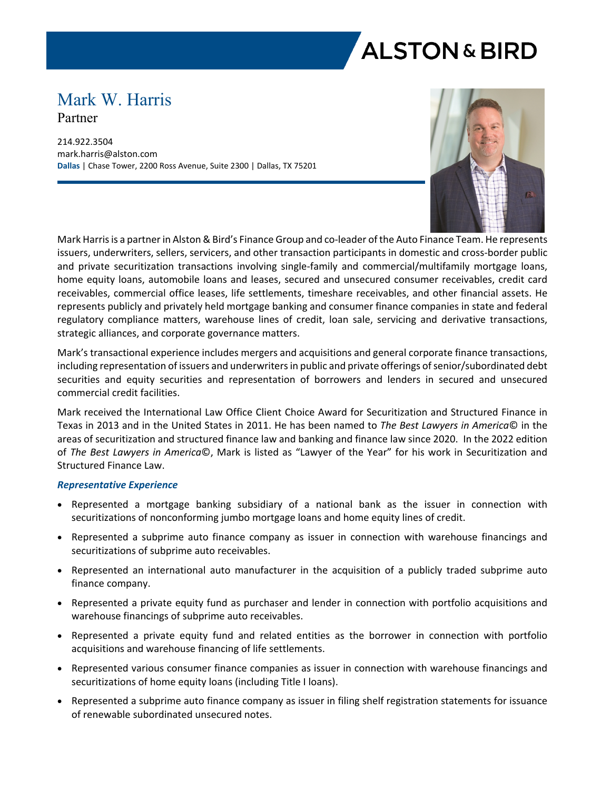

# Mark W. Harris Partner

214.922.3504 mark.harris@alston.com **Dallas** | Chase Tower, 2200 Ross Avenue, Suite 2300 | Dallas, TX 75201



Mark Harris is a partner in Alston & Bird's Finance Group and co-leader of the Auto Finance Team. He represents issuers, underwriters, sellers, servicers, and other transaction participants in domestic and cross-border public and private securitization transactions involving single-family and commercial/multifamily mortgage loans, home equity loans, automobile loans and leases, secured and unsecured consumer receivables, credit card receivables, commercial office leases, life settlements, timeshare receivables, and other financial assets. He represents publicly and privately held mortgage banking and consumer finance companies in state and federal regulatory compliance matters, warehouse lines of credit, loan sale, servicing and derivative transactions, strategic alliances, and corporate governance matters.

Mark's transactional experience includes mergers and acquisitions and general corporate finance transactions, including representation of issuers and underwriters in public and private offerings of senior/subordinated debt securities and equity securities and representation of borrowers and lenders in secured and unsecured commercial credit facilities.

Mark received the International Law Office Client Choice Award for Securitization and Structured Finance in Texas in 2013 and in the United States in 2011. He has been named to *The Best Lawyers in America*© in the areas of securitization and structured finance law and banking and finance law since 2020. In the 2022 edition of *The Best Lawyers in America*©, Mark is listed as "Lawyer of the Year" for his work in Securitization and Structured Finance Law.

### *Representative Experience*

- Represented a mortgage banking subsidiary of a national bank as the issuer in connection with securitizations of nonconforming jumbo mortgage loans and home equity lines of credit.
- Represented a subprime auto finance company as issuer in connection with warehouse financings and securitizations of subprime auto receivables.
- Represented an international auto manufacturer in the acquisition of a publicly traded subprime auto finance company.
- Represented a private equity fund as purchaser and lender in connection with portfolio acquisitions and warehouse financings of subprime auto receivables.
- Represented a private equity fund and related entities as the borrower in connection with portfolio acquisitions and warehouse financing of life settlements.
- Represented various consumer finance companies as issuer in connection with warehouse financings and securitizations of home equity loans (including Title I loans).
- Represented a subprime auto finance company as issuer in filing shelf registration statements for issuance of renewable subordinated unsecured notes.